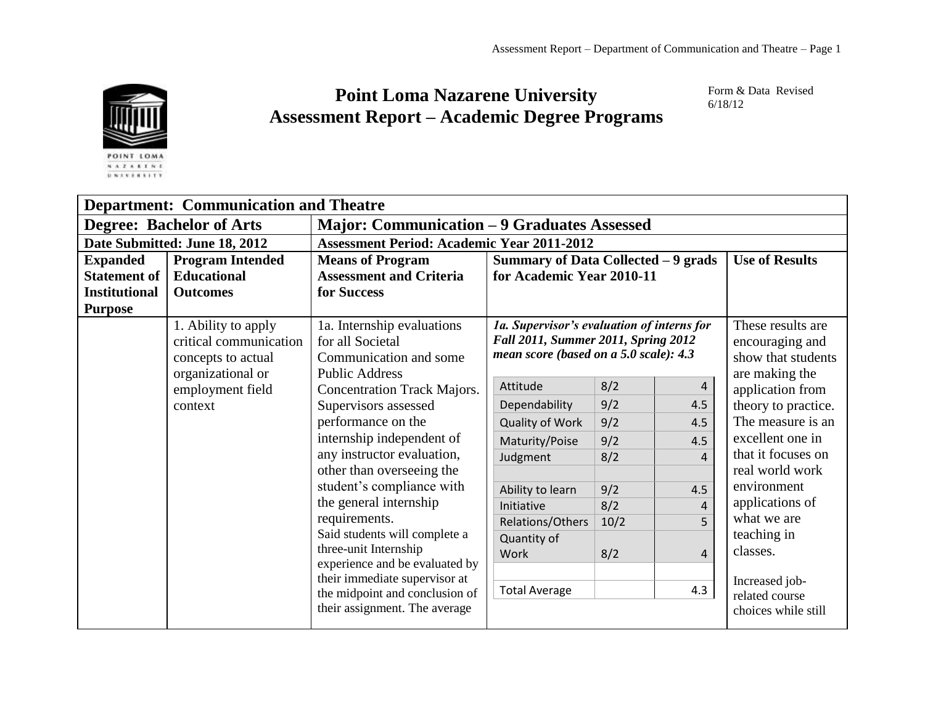

## **Point Loma Nazarene University Assessment Report – Academic Degree Programs**

Form & Data Revised 6/18/12

| <b>Department: Communication and Theatre</b> |                                                                                          |                                                                                                   |                                                                                                                             |      |                       |                                                                              |
|----------------------------------------------|------------------------------------------------------------------------------------------|---------------------------------------------------------------------------------------------------|-----------------------------------------------------------------------------------------------------------------------------|------|-----------------------|------------------------------------------------------------------------------|
| <b>Degree: Bachelor of Arts</b>              |                                                                                          | <b>Major: Communication - 9 Graduates Assessed</b>                                                |                                                                                                                             |      |                       |                                                                              |
| Date Submitted: June 18, 2012                |                                                                                          | <b>Assessment Period: Academic Year 2011-2012</b>                                                 |                                                                                                                             |      |                       |                                                                              |
| <b>Expanded</b>                              | <b>Program Intended</b>                                                                  | Summary of Data Collected - 9 grads<br><b>Means of Program</b>                                    |                                                                                                                             |      | <b>Use of Results</b> |                                                                              |
| <b>Statement of</b>                          | <b>Educational</b>                                                                       | <b>Assessment and Criteria</b>                                                                    | for Academic Year 2010-11                                                                                                   |      |                       |                                                                              |
| <b>Institutional</b>                         | <b>Outcomes</b>                                                                          | for Success                                                                                       |                                                                                                                             |      |                       |                                                                              |
| <b>Purpose</b>                               |                                                                                          |                                                                                                   |                                                                                                                             |      |                       |                                                                              |
|                                              | 1. Ability to apply<br>critical communication<br>concepts to actual<br>organizational or | 1a. Internship evaluations<br>for all Societal<br>Communication and some<br><b>Public Address</b> | 1a. Supervisor's evaluation of interns for<br>Fall 2011, Summer 2011, Spring 2012<br>mean score (based on a 5.0 scale): 4.3 |      |                       | These results are<br>encouraging and<br>show that students<br>are making the |
|                                              | employment field                                                                         | Concentration Track Majors.                                                                       | Attitude                                                                                                                    | 8/2  | 4                     | application from                                                             |
|                                              | context                                                                                  | Supervisors assessed                                                                              | Dependability                                                                                                               | 9/2  | 4.5                   | theory to practice.                                                          |
|                                              |                                                                                          | performance on the                                                                                | Quality of Work                                                                                                             | 9/2  | 4.5                   | The measure is an                                                            |
|                                              |                                                                                          | internship independent of                                                                         | Maturity/Poise                                                                                                              | 9/2  | 4.5                   | excellent one in                                                             |
|                                              |                                                                                          | any instructor evaluation,                                                                        | Judgment                                                                                                                    | 8/2  | 4                     | that it focuses on                                                           |
|                                              |                                                                                          | other than overseeing the                                                                         |                                                                                                                             |      |                       | real world work                                                              |
|                                              |                                                                                          | student's compliance with                                                                         | Ability to learn                                                                                                            | 9/2  | 4.5                   | environment                                                                  |
|                                              |                                                                                          | the general internship                                                                            | Initiative                                                                                                                  | 8/2  | 4                     | applications of                                                              |
|                                              |                                                                                          | requirements.                                                                                     | Relations/Others                                                                                                            | 10/2 | 5                     | what we are                                                                  |
|                                              |                                                                                          | Said students will complete a<br>three-unit Internship<br>experience and be evaluated by          | Quantity of<br>Work                                                                                                         | 8/2  | 4                     | teaching in<br>classes.                                                      |
|                                              |                                                                                          | their immediate supervisor at<br>the midpoint and conclusion of<br>their assignment. The average  | <b>Total Average</b>                                                                                                        |      | 4.3                   | Increased job-<br>related course<br>choices while still                      |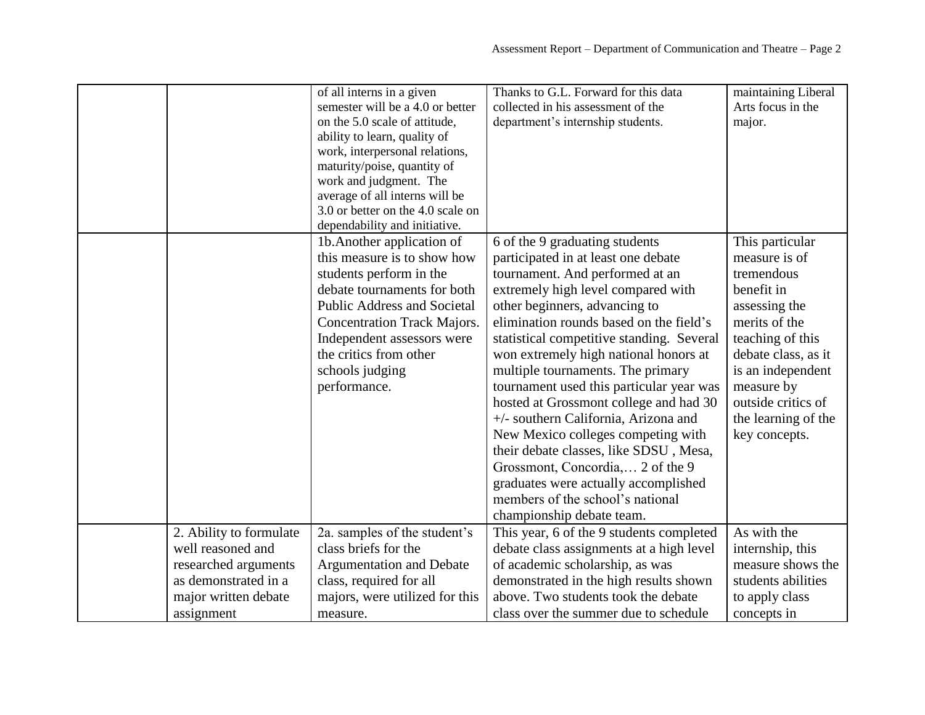|                                              | of all interns in a given<br>semester will be a 4.0 or better<br>on the 5.0 scale of attitude,<br>ability to learn, quality of<br>work, interpersonal relations,<br>maturity/poise, quantity of<br>work and judgment. The<br>average of all interns will be<br>3.0 or better on the 4.0 scale on<br>dependability and initiative. | Thanks to G.L. Forward for this data<br>collected in his assessment of the<br>department's internship students.                                                                                                                                                                                                                                                                                                                                                                                                                                                                                                                                                                                                  | maintaining Liberal<br>Arts focus in the<br>major.                                                                                                                                                                                         |
|----------------------------------------------|-----------------------------------------------------------------------------------------------------------------------------------------------------------------------------------------------------------------------------------------------------------------------------------------------------------------------------------|------------------------------------------------------------------------------------------------------------------------------------------------------------------------------------------------------------------------------------------------------------------------------------------------------------------------------------------------------------------------------------------------------------------------------------------------------------------------------------------------------------------------------------------------------------------------------------------------------------------------------------------------------------------------------------------------------------------|--------------------------------------------------------------------------------------------------------------------------------------------------------------------------------------------------------------------------------------------|
|                                              | 1b. Another application of<br>this measure is to show how<br>students perform in the<br>debate tournaments for both<br><b>Public Address and Societal</b><br><b>Concentration Track Majors.</b><br>Independent assessors were<br>the critics from other<br>schools judging<br>performance.                                        | 6 of the 9 graduating students<br>participated in at least one debate<br>tournament. And performed at an<br>extremely high level compared with<br>other beginners, advancing to<br>elimination rounds based on the field's<br>statistical competitive standing. Several<br>won extremely high national honors at<br>multiple tournaments. The primary<br>tournament used this particular year was<br>hosted at Grossmont college and had 30<br>+/- southern California, Arizona and<br>New Mexico colleges competing with<br>their debate classes, like SDSU, Mesa,<br>Grossmont, Concordia, 2 of the 9<br>graduates were actually accomplished<br>members of the school's national<br>championship debate team. | This particular<br>measure is of<br>tremendous<br>benefit in<br>assessing the<br>merits of the<br>teaching of this<br>debate class, as it<br>is an independent<br>measure by<br>outside critics of<br>the learning of the<br>key concepts. |
| 2. Ability to formulate                      | 2a. samples of the student's                                                                                                                                                                                                                                                                                                      | This year, 6 of the 9 students completed                                                                                                                                                                                                                                                                                                                                                                                                                                                                                                                                                                                                                                                                         | As with the                                                                                                                                                                                                                                |
| well reasoned and                            | class briefs for the                                                                                                                                                                                                                                                                                                              | debate class assignments at a high level                                                                                                                                                                                                                                                                                                                                                                                                                                                                                                                                                                                                                                                                         | internship, this<br>measure shows the                                                                                                                                                                                                      |
| researched arguments<br>as demonstrated in a | <b>Argumentation and Debate</b>                                                                                                                                                                                                                                                                                                   | of academic scholarship, as was                                                                                                                                                                                                                                                                                                                                                                                                                                                                                                                                                                                                                                                                                  |                                                                                                                                                                                                                                            |
|                                              | class, required for all                                                                                                                                                                                                                                                                                                           | demonstrated in the high results shown<br>above. Two students took the debate                                                                                                                                                                                                                                                                                                                                                                                                                                                                                                                                                                                                                                    | students abilities                                                                                                                                                                                                                         |
| major written debate                         | majors, were utilized for this                                                                                                                                                                                                                                                                                                    |                                                                                                                                                                                                                                                                                                                                                                                                                                                                                                                                                                                                                                                                                                                  | to apply class                                                                                                                                                                                                                             |
| assignment                                   | measure.                                                                                                                                                                                                                                                                                                                          | class over the summer due to schedule                                                                                                                                                                                                                                                                                                                                                                                                                                                                                                                                                                                                                                                                            | concepts in                                                                                                                                                                                                                                |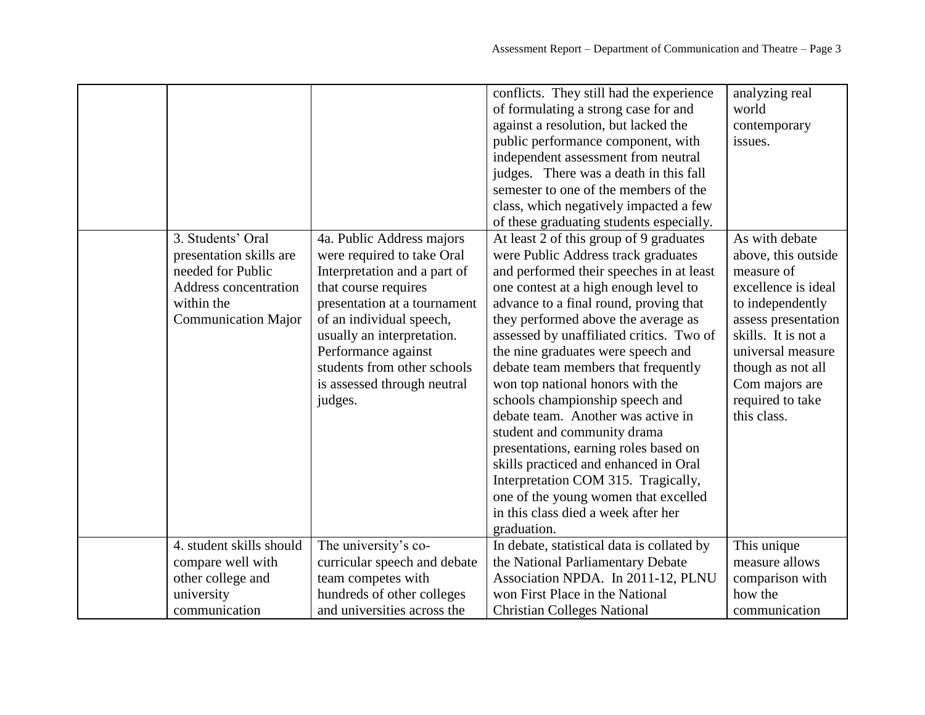|                                                                                                                                        |                                                                                                                                                                                                                                                                                                           | conflicts. They still had the experience<br>of formulating a strong case for and<br>against a resolution, but lacked the<br>public performance component, with                                                                                                                                                                                                                                                                                                                                                                                                                                                                                                                                                                                   | analyzing real<br>world<br>contemporary<br>issues.                                                                                                                                                                                          |
|----------------------------------------------------------------------------------------------------------------------------------------|-----------------------------------------------------------------------------------------------------------------------------------------------------------------------------------------------------------------------------------------------------------------------------------------------------------|--------------------------------------------------------------------------------------------------------------------------------------------------------------------------------------------------------------------------------------------------------------------------------------------------------------------------------------------------------------------------------------------------------------------------------------------------------------------------------------------------------------------------------------------------------------------------------------------------------------------------------------------------------------------------------------------------------------------------------------------------|---------------------------------------------------------------------------------------------------------------------------------------------------------------------------------------------------------------------------------------------|
|                                                                                                                                        |                                                                                                                                                                                                                                                                                                           | independent assessment from neutral<br>judges. There was a death in this fall<br>semester to one of the members of the<br>class, which negatively impacted a few                                                                                                                                                                                                                                                                                                                                                                                                                                                                                                                                                                                 |                                                                                                                                                                                                                                             |
|                                                                                                                                        |                                                                                                                                                                                                                                                                                                           | of these graduating students especially.                                                                                                                                                                                                                                                                                                                                                                                                                                                                                                                                                                                                                                                                                                         |                                                                                                                                                                                                                                             |
| 3. Students' Oral<br>presentation skills are<br>needed for Public<br>Address concentration<br>within the<br><b>Communication Major</b> | 4a. Public Address majors<br>were required to take Oral<br>Interpretation and a part of<br>that course requires<br>presentation at a tournament<br>of an individual speech,<br>usually an interpretation.<br>Performance against<br>students from other schools<br>is assessed through neutral<br>judges. | At least 2 of this group of 9 graduates<br>were Public Address track graduates<br>and performed their speeches in at least<br>one contest at a high enough level to<br>advance to a final round, proving that<br>they performed above the average as<br>assessed by unaffiliated critics. Two of<br>the nine graduates were speech and<br>debate team members that frequently<br>won top national honors with the<br>schools championship speech and<br>debate team. Another was active in<br>student and community drama<br>presentations, earning roles based on<br>skills practiced and enhanced in Oral<br>Interpretation COM 315. Tragically,<br>one of the young women that excelled<br>in this class died a week after her<br>graduation. | As with debate<br>above, this outside<br>measure of<br>excellence is ideal<br>to independently<br>assess presentation<br>skills. It is not a<br>universal measure<br>though as not all<br>Com majors are<br>required to take<br>this class. |
| 4. student skills should                                                                                                               | The university's co-                                                                                                                                                                                                                                                                                      | In debate, statistical data is collated by                                                                                                                                                                                                                                                                                                                                                                                                                                                                                                                                                                                                                                                                                                       | This unique                                                                                                                                                                                                                                 |
| compare well with                                                                                                                      | curricular speech and debate                                                                                                                                                                                                                                                                              | the National Parliamentary Debate                                                                                                                                                                                                                                                                                                                                                                                                                                                                                                                                                                                                                                                                                                                | measure allows                                                                                                                                                                                                                              |
| other college and                                                                                                                      | team competes with                                                                                                                                                                                                                                                                                        | Association NPDA. In 2011-12, PLNU                                                                                                                                                                                                                                                                                                                                                                                                                                                                                                                                                                                                                                                                                                               | comparison with                                                                                                                                                                                                                             |
| university                                                                                                                             | hundreds of other colleges                                                                                                                                                                                                                                                                                | won First Place in the National                                                                                                                                                                                                                                                                                                                                                                                                                                                                                                                                                                                                                                                                                                                  | how the                                                                                                                                                                                                                                     |
| communication                                                                                                                          | and universities across the                                                                                                                                                                                                                                                                               | <b>Christian Colleges National</b>                                                                                                                                                                                                                                                                                                                                                                                                                                                                                                                                                                                                                                                                                                               | communication                                                                                                                                                                                                                               |